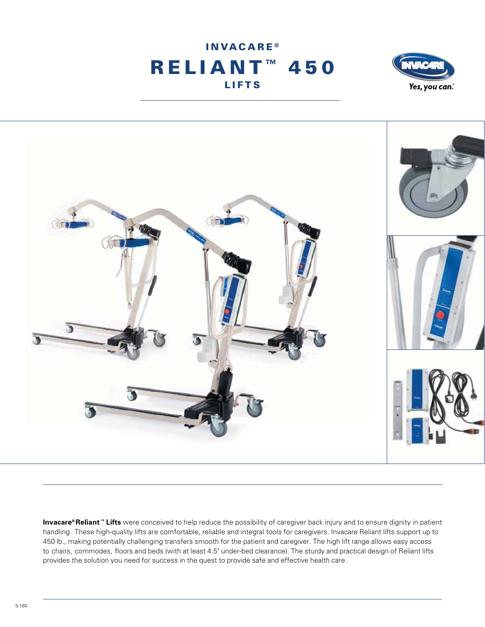





**Invacare® Reliant ™ Lifts** were conceived to help reduce the possibility of caregiver back injury and to ensure dignity in patient handling. These high-quality lifts are comfortable, reliable and integral tools for caregivers. Invacare Reliant lifts support up to 450 lb., making potentially challenging transfers smooth for the patient and caregiver. The high lift range allows easy access to chairs, commodes, floors and beds (with at least 4.5" under-bed clearance). The sturdy and practical design of Reliant lifts provides the solution you need for success in the quest to provide safe and effective health care.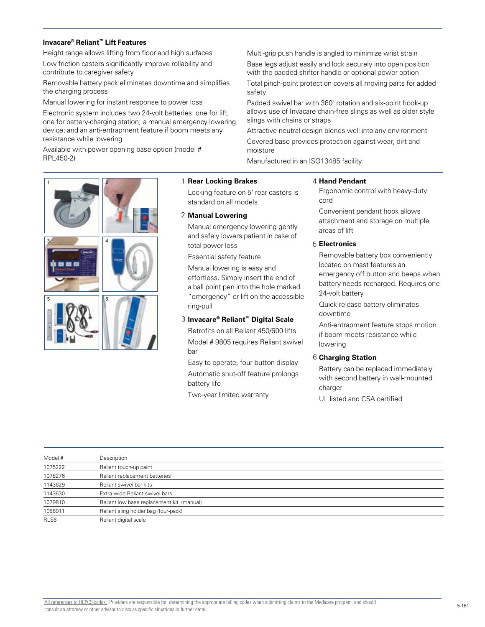#### **Invacare® Reliant™ Lift Features**

Height range allows lifting from floor and high surfaces Low friction casters significantly improve rollability and contribute to caregiver safety

Removable battery pack eliminates downtime and simplifies the charging process

Manual lowering for instant response to power loss

Electronic system includes two 24-volt batteries: one for lift, one for battery-charging station; a manual emergency lowering device; and an anti-entrapment feature if boom meets any resistance while lowering

Available with power opening base option (model # RPL450-2)

Multi-grip push handle is angled to minimize wrist strain Base legs adjust easily and lock securely into open position with the padded shifter handle or optional power option

Total pinch-point protection covers all moving parts for added safety

Padded swivel bar with 360˚ rotation and six-point hook-up allows use of Invacare chain-free slings as well as older style slings with chains or straps

Attractive neutral design blends well into any environment Covered base provides protection against wear, dirt and moisture

Manufactured in an ISO13485 facility

# 3 5 4 6 1 2 1

#### **Rear Locking Brakes**

Locking feature on 5" rear casters is standard on all models

#### **Manual Lowering**  2

Manual emergency lowering gently and safely lowers patient in case of total power loss

Essential safety feature

Manual lowering is easy and effortless. Simply insert the end of a ball point pen into the hole marked "emergency" or lift on the accessible ring-pull

# **Invacare® Reliant™ Digital Scale**  3

Retrofits on all Reliant 450/600 lifts Model # 9805 requires Reliant swivel bar

Easy to operate, four-button display Automatic shut-off feature prolongs battery life

Two-year limited warranty

#### **Hand Pendant**  4

Ergonomic control with heavy-duty cord

Convenient pendant hook allows attachment and storage on multiple areas of lift

# **Electronics** 5

Removable battery box conveniently located on mast features an emergency off button and beeps when battery needs recharged. Requires one 24-volt battery

Quick-release battery eliminates downtime

Anti-entrapment feature stops motion if boom meets resistance while lowering

# **Charging Station**  6

Battery can be replaced immediately with second battery in wall-mounted charger

UL listed and CSA certified

| Model # | Description                               |
|---------|-------------------------------------------|
| 1075222 | Reliant touch-up paint                    |
| 1078276 | Reliant replacement batteries             |
| 1143629 | Reliant swivel bar kits                   |
| 1143630 | Extra-wide Reliant swivel bars            |
| 1079810 | Reliant low base replacement kit (manual) |
| 1088911 | Reliant sling holder bag (four-pack)      |
| RLS6    | Reliant digital scale                     |
|         |                                           |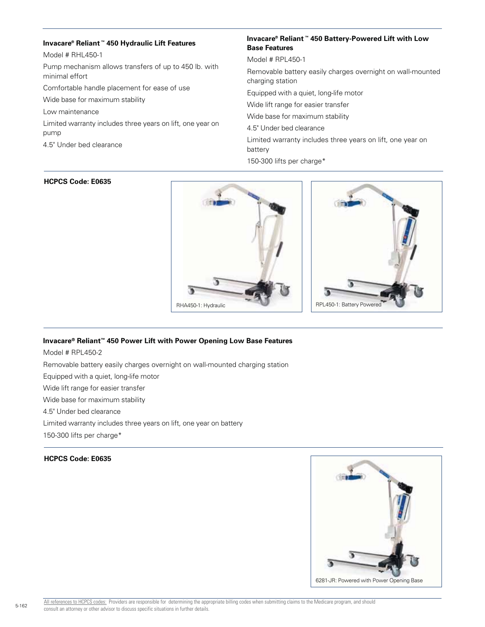#### **Invacare® Reliant ™ 450 Hydraulic Lift Features**

Model # RHL450-1

Pump mechanism allows transfers of up to 450 lb. with minimal effort

Comfortable handle placement for ease of use

Wide base for maximum stability

Low maintenance

Limited warranty includes three years on lift, one year on pump

4.5" Under bed clearance

# **Invacare® Reliant ™ 450 Battery-Powered Lift with Low Base Features**

Model # RPL450-1

Removable battery easily charges overnight on wall-mounted charging station

Equipped with a quiet, long-life motor

Wide lift range for easier transfer

Wide base for maximum stability

4.5" Under bed clearance

Limited warranty includes three years on lift, one year on battery

150-300 lifts per charge\*

#### **HCPCS Code: E0635**



# **Invacare® Reliant™ 450 Power Lift with Power Opening Low Base Features**

Model # RPL450-2

Removable battery easily charges overnight on wall-mounted charging station

Equipped with a quiet, long-life motor

Wide lift range for easier transfer

Wide base for maximum stability

4.5" Under bed clearance

Limited warranty includes three years on lift, one year on battery

150-300 lifts per charge\*

# **HCPCS Code: E0635**



5-162